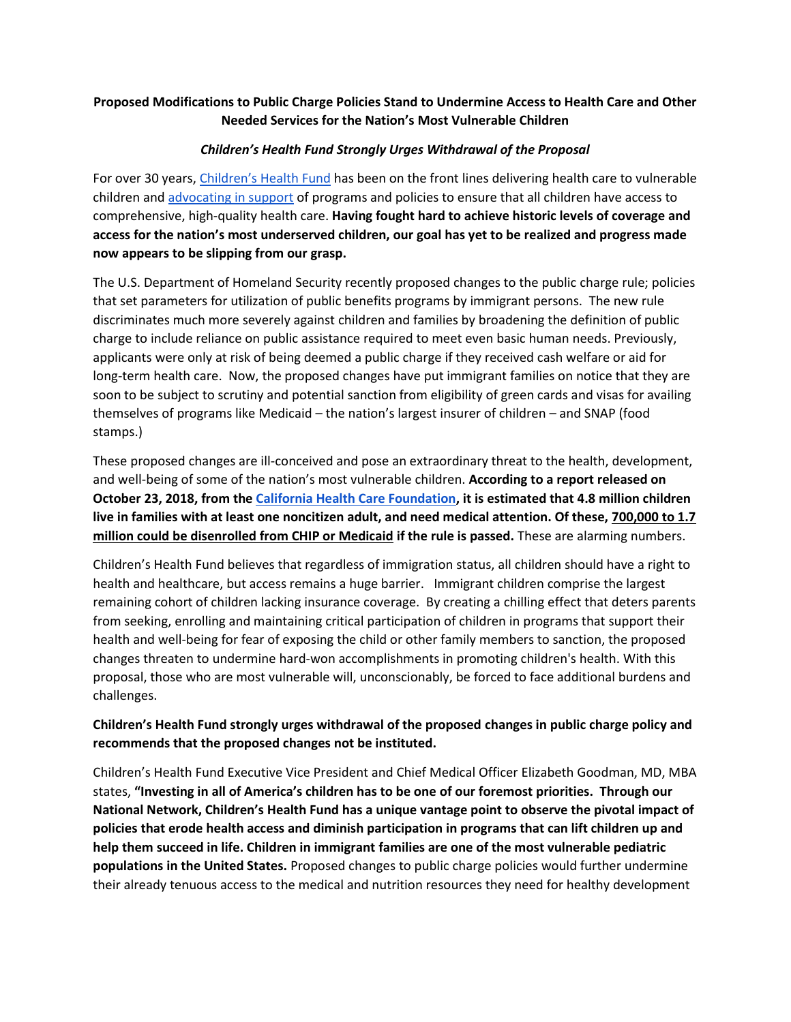## **Proposed Modifications to Public Charge Policies Stand to Undermine Access to Health Care and Other Needed Services for the Nation's Most Vulnerable Children**

## *Children's Health Fund Strongly Urges Withdrawal of the Proposal*

For over 30 years, [Children's Health Fund](https://www.childrenshealthfund.org/our-mission/) has been on the front lines delivering health care to vulnerable children and [advocating in](https://www.childrenshealthfund.org/advocacy-milestones/) support of programs and policies to ensure that all children have access to comprehensive, high-quality health care. **Having fought hard to achieve historic levels of coverage and access for the nation's most underserved children, our goal has yet to be realized and progress made now appears to be slipping from our grasp.** 

The U.S. Department of Homeland Security recently proposed changes to the public charge rule; policies that set parameters for utilization of public benefits programs by immigrant persons. The new rule discriminates much more severely against children and families by broadening the definition of public charge to include reliance on public assistance required to meet even basic human needs. Previously, applicants were only at risk of being deemed a public charge if they received cash welfare or aid for long-term health care. Now, the proposed changes have put immigrant families on notice that they are soon to be subject to scrutiny and potential sanction from eligibility of green cards and visas for availing themselves of programs like Medicaid – the nation's largest insurer of children – and SNAP (food stamps.)

These proposed changes are ill-conceived and pose an extraordinary threat to the health, development, and well-being of some of the nation's most vulnerable children. **According to a report released on October 23, 2018, from the [California Health Care Foundation,](https://www.chcf.org/publication/changing-public-charge-immigration-rules/) it is estimated that 4.8 million children live in families with at least one noncitizen adult, and need medical attention. Of these, 700,000 to 1.7 million could be disenrolled from CHIP or Medicaid if the rule is passed.** These are alarming numbers.

Children's Health Fund believes that regardless of immigration status, all children should have a right to health and healthcare, but access remains a huge barrier. Immigrant children comprise the largest remaining cohort of children lacking insurance coverage. By creating a chilling effect that deters parents from seeking, enrolling and maintaining critical participation of children in programs that support their health and well-being for fear of exposing the child or other family members to sanction, the proposed changes threaten to undermine hard-won accomplishments in promoting children's health. With this proposal, those who are most vulnerable will, unconscionably, be forced to face additional burdens and challenges.

## **Children's Health Fund strongly urges withdrawal of the proposed changes in public charge policy and recommends that the proposed changes not be instituted.**

Children's Health Fund Executive Vice President and Chief Medical Officer Elizabeth Goodman, MD, MBA states, **"Investing in all of America's children has to be one of our foremost priorities. Through our National Network, Children's Health Fund has a unique vantage point to observe the pivotal impact of policies that erode health access and diminish participation in programs that can lift children up and help them succeed in life. Children in immigrant families are one of the most vulnerable pediatric populations in the United States.** Proposed changes to public charge policies would further undermine their already tenuous access to the medical and nutrition resources they need for healthy development